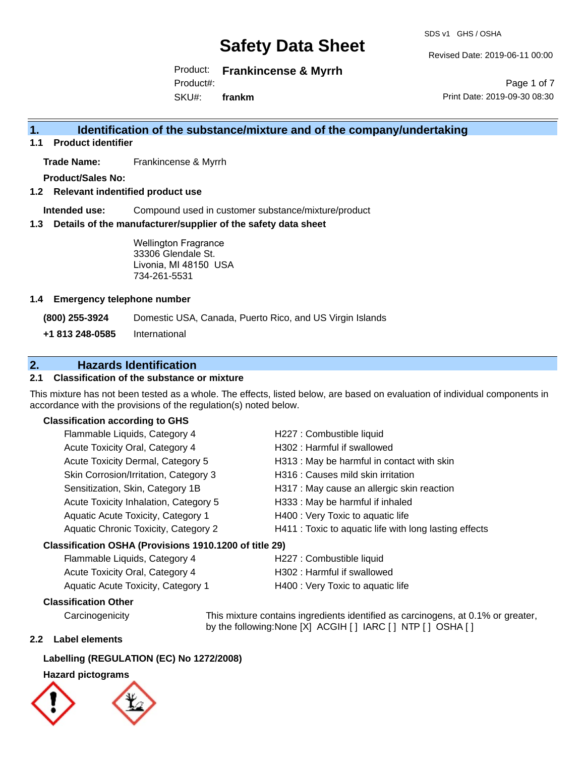SDS v1 GHS / OSHA

Revised Date: 2019-06-11 00:00

Product: **Frankincense & Myrrh**  Product#:

SKU#: **frankm**

Page 1 of 7 Print Date: 2019-09-30 08:30

## **1. Identification of the substance/mixture and of the company/undertaking**

**1.1 Product identifier**

**Trade Name:** Frankincense & Myrrh

**Product/Sales No:**

**1.2 Relevant indentified product use**

**Intended use:** Compound used in customer substance/mixture/product

**1.3 Details of the manufacturer/supplier of the safety data sheet**

Wellington Fragrance 33306 Glendale St. Livonia, MI 48150 USA 734-261-5531

### **1.4 Emergency telephone number**

**(800) 255-3924** Domestic USA, Canada, Puerto Rico, and US Virgin Islands

**+1 813 248-0585** International

## **2. Hazards Identification**

## **2.1 Classification of the substance or mixture**

This mixture has not been tested as a whole. The effects, listed below, are based on evaluation of individual components in accordance with the provisions of the regulation(s) noted below.

### **Classification according to GHS**

| Flammable Liquids, Category 4                          | H227 : Combustible liquid                              |  |
|--------------------------------------------------------|--------------------------------------------------------|--|
| Acute Toxicity Oral, Category 4                        | H302: Harmful if swallowed                             |  |
| Acute Toxicity Dermal, Category 5                      | H313 : May be harmful in contact with skin             |  |
| Skin Corrosion/Irritation, Category 3                  | H316 : Causes mild skin irritation                     |  |
| Sensitization, Skin, Category 1B                       | H317 : May cause an allergic skin reaction             |  |
| Acute Toxicity Inhalation, Category 5                  | H333: May be harmful if inhaled                        |  |
| Aquatic Acute Toxicity, Category 1                     | H400 : Very Toxic to aquatic life                      |  |
| Aquatic Chronic Toxicity, Category 2                   | H411 : Toxic to aquatic life with long lasting effects |  |
| Classification OSHA (Provisions 1910.1200 of title 29) |                                                        |  |

| Flammable Liquids, Category 4          | H227 : Combustible liquid         |
|----------------------------------------|-----------------------------------|
| <b>Acute Toxicity Oral, Category 4</b> | H302 : Harmful if swallowed       |
| Aquatic Acute Toxicity, Category 1     | H400 : Very Toxic to aquatic life |

## **Classification Other**

by the following:None [X] ACGIH [ ] IARC [ ] NTP [ ] OSHA [ ]

### **2.2 Label elements**

### **Labelling (REGULATION (EC) No 1272/2008)**

### **Hazard pictograms**



Carcinogenicity This mixture contains ingredients identified as carcinogens, at 0.1% or greater,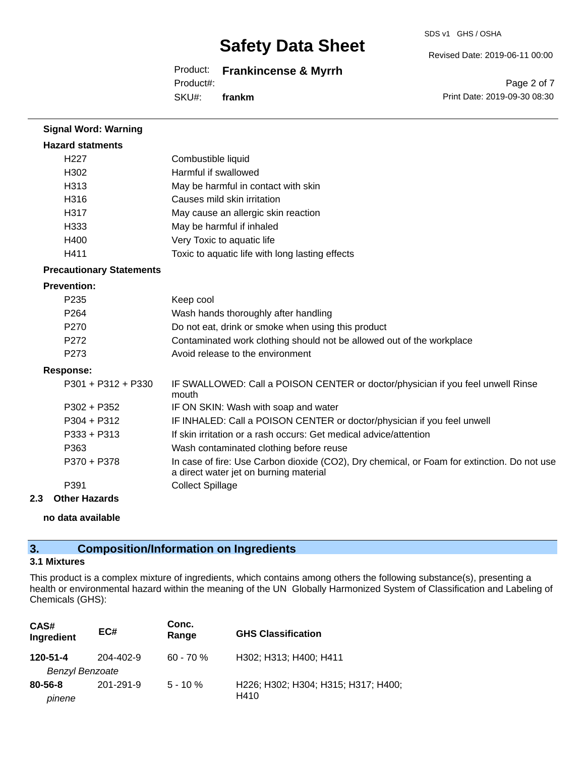SDS v1 GHS / OSHA

Revised Date: 2019-06-11 00:00

## Product: **Frankincense & Myrrh**

Product#:

SKU#: **frankm**

Page 2 of 7 Print Date: 2019-09-30 08:30

| <b>Signal Word: Warning</b>     |                                                                                                                                       |
|---------------------------------|---------------------------------------------------------------------------------------------------------------------------------------|
| <b>Hazard statments</b>         |                                                                                                                                       |
| H <sub>227</sub>                | Combustible liquid                                                                                                                    |
| H302                            | Harmful if swallowed                                                                                                                  |
| H313                            | May be harmful in contact with skin                                                                                                   |
| H316                            | Causes mild skin irritation                                                                                                           |
| H317                            | May cause an allergic skin reaction                                                                                                   |
| H333                            | May be harmful if inhaled                                                                                                             |
| H400                            | Very Toxic to aquatic life                                                                                                            |
| H411                            | Toxic to aquatic life with long lasting effects                                                                                       |
| <b>Precautionary Statements</b> |                                                                                                                                       |
| <b>Prevention:</b>              |                                                                                                                                       |
| P <sub>235</sub>                | Keep cool                                                                                                                             |
| P <sub>264</sub>                | Wash hands thoroughly after handling                                                                                                  |
| P270                            | Do not eat, drink or smoke when using this product                                                                                    |
| P <sub>272</sub>                | Contaminated work clothing should not be allowed out of the workplace                                                                 |
| P273                            | Avoid release to the environment                                                                                                      |
| <b>Response:</b>                |                                                                                                                                       |
| P301 + P312 + P330              | IF SWALLOWED: Call a POISON CENTER or doctor/physician if you feel unwell Rinse<br>mouth                                              |
| $P302 + P352$                   | IF ON SKIN: Wash with soap and water                                                                                                  |
| $P304 + P312$                   | IF INHALED: Call a POISON CENTER or doctor/physician if you feel unwell                                                               |
| P333 + P313                     | If skin irritation or a rash occurs: Get medical advice/attention                                                                     |
| P363                            | Wash contaminated clothing before reuse                                                                                               |
| P370 + P378                     | In case of fire: Use Carbon dioxide (CO2), Dry chemical, or Foam for extinction. Do not use<br>a direct water jet on burning material |
| P391                            | <b>Collect Spillage</b>                                                                                                               |
| <b>Other Hazards</b><br>2.3     |                                                                                                                                       |

**no data available**

## **3. Composition/Information on Ingredients**

### **3.1 Mixtures**

This product is a complex mixture of ingredients, which contains among others the following substance(s), presenting a health or environmental hazard within the meaning of the UN Globally Harmonized System of Classification and Labeling of Chemicals (GHS):

| CAS#<br>Ingredient                 | EC#       | Conc.<br>Range | <b>GHS Classification</b>                   |
|------------------------------------|-----------|----------------|---------------------------------------------|
| 120-51-4<br><b>Benzyl Benzoate</b> | 204-402-9 | $60 - 70%$     | H302; H313; H400; H411                      |
| $80 - 56 - 8$<br>pinene            | 201-291-9 | $5 - 10 \%$    | H226; H302; H304; H315; H317; H400;<br>H410 |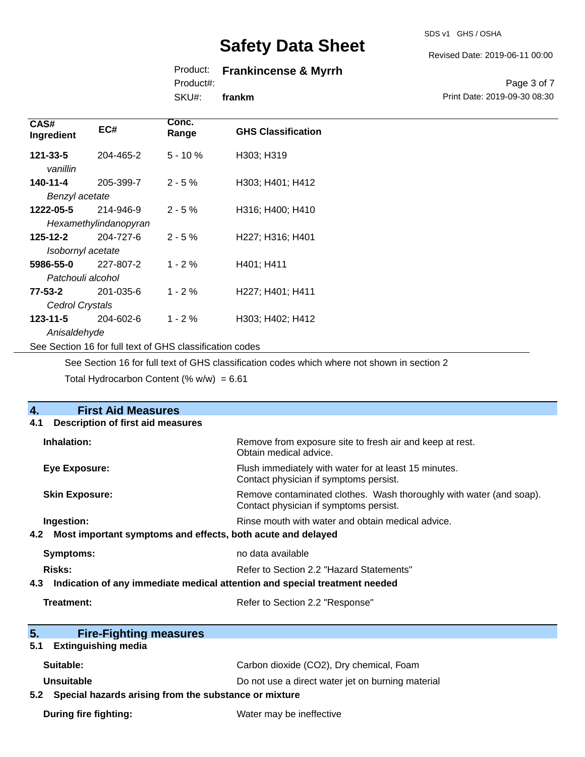## Product: **Frankincense & Myrrh**

Product#:

SKU#: **frankm**

## Revised Date: 2019-06-11 00:00

SDS v1 GHS / OSHA

Page 3 of 7 Print Date: 2019-09-30 08:30

| CAS#<br>Ingredient                                       | EC#                   | Conc.<br>Range | <b>GHS Classification</b> |
|----------------------------------------------------------|-----------------------|----------------|---------------------------|
| 121-33-5                                                 | 204-465-2             | $5 - 10%$      | H303; H319                |
| vanillin                                                 |                       |                |                           |
| 140-11-4                                                 | 205-399-7             | $2 - 5%$       | H303; H401; H412          |
| Benzyl acetate                                           |                       |                |                           |
| 1222-05-5                                                | 214-946-9             | $2 - 5%$       | H316; H400; H410          |
|                                                          | Hexamethylindanopyran |                |                           |
| $125 - 12 - 2$                                           | 204-727-6             | $2 - 5%$       | H227; H316; H401          |
| Isobornyl acetate                                        |                       |                |                           |
| 5986-55-0                                                | 227-807-2             | $1 - 2%$       | H401; H411                |
| Patchouli alcohol                                        |                       |                |                           |
| 77-53-2                                                  | 201-035-6             | $1 - 2 \%$     | H227; H401; H411          |
| Cedrol Crystals                                          |                       |                |                           |
| $123 - 11 - 5$                                           | 204-602-6             | $1 - 2%$       | H303; H402; H412          |
| Anisaldehyde                                             |                       |                |                           |
| See Section 16 for full text of GHS classification codes |                       |                |                           |

See Section 16 for full text of GHS classification codes which where not shown in section 2

Total Hydrocarbon Content (%  $w/w$ ) = 6.61

| 4.<br><b>First Aid Measures</b>                                                   |                                                                                                               |
|-----------------------------------------------------------------------------------|---------------------------------------------------------------------------------------------------------------|
| 4.1<br><b>Description of first aid measures</b>                                   |                                                                                                               |
| Inhalation:                                                                       | Remove from exposure site to fresh air and keep at rest.<br>Obtain medical advice.                            |
| <b>Eye Exposure:</b>                                                              | Flush immediately with water for at least 15 minutes.<br>Contact physician if symptoms persist.               |
| <b>Skin Exposure:</b>                                                             | Remove contaminated clothes. Wash thoroughly with water (and soap).<br>Contact physician if symptoms persist. |
| Ingestion:                                                                        | Rinse mouth with water and obtain medical advice.                                                             |
| 4.2 Most important symptoms and effects, both acute and delayed                   |                                                                                                               |
| <b>Symptoms:</b>                                                                  | no data available                                                                                             |
| Risks:<br>Refer to Section 2.2 "Hazard Statements"                                |                                                                                                               |
| Indication of any immediate medical attention and special treatment needed<br>4.3 |                                                                                                               |
| Treatment:                                                                        | Refer to Section 2.2 "Response"                                                                               |
| 5.<br><b>Fire-Fighting measures</b>                                               |                                                                                                               |
| <b>Extinguishing media</b><br>5.1                                                 |                                                                                                               |
| Suitable:                                                                         | Carbon dioxide (CO2), Dry chemical, Foam                                                                      |
| Unsuitable                                                                        | Do not use a direct water jet on burning material                                                             |
| 5.2 Special hazards arising from the substance or mixture                         |                                                                                                               |
| <b>During fire fighting:</b>                                                      | Water may be ineffective                                                                                      |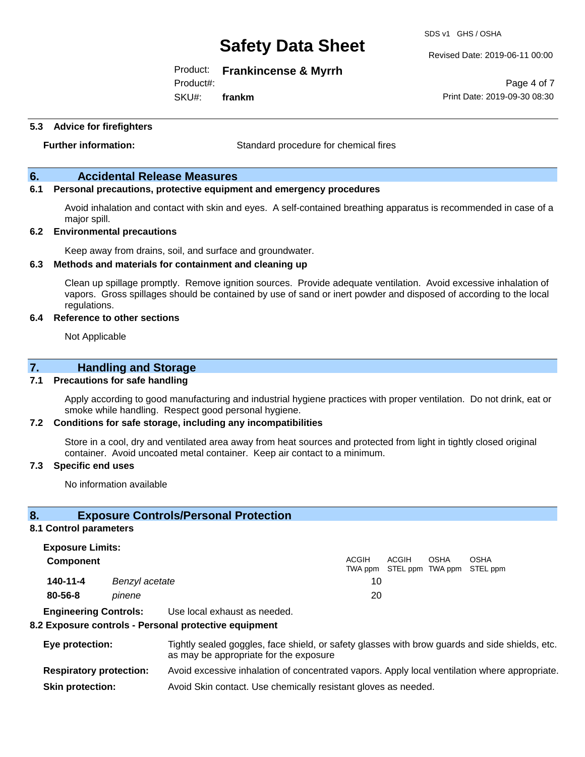SDS v1 GHS / OSHA

Product: **Frankincense & Myrrh** 

Product#:

SKU#: **frankm** Revised Date: 2019-06-11 00:00

Page 4 of 7 Print Date: 2019-09-30 08:30

**5.3 Advice for firefighters**

**Further information:** Standard procedure for chemical fires

## **6. Accidental Release Measures**

## **6.1 Personal precautions, protective equipment and emergency procedures**

Avoid inhalation and contact with skin and eyes. A self-contained breathing apparatus is recommended in case of a major spill.

#### **6.2 Environmental precautions**

Keep away from drains, soil, and surface and groundwater.

#### **6.3 Methods and materials for containment and cleaning up**

Clean up spillage promptly. Remove ignition sources. Provide adequate ventilation. Avoid excessive inhalation of vapors. Gross spillages should be contained by use of sand or inert powder and disposed of according to the local regulations.

#### **6.4 Reference to other sections**

Not Applicable

## **7. Handling and Storage**

#### **7.1 Precautions for safe handling**

Apply according to good manufacturing and industrial hygiene practices with proper ventilation. Do not drink, eat or smoke while handling. Respect good personal hygiene.

#### **7.2 Conditions for safe storage, including any incompatibilities**

Store in a cool, dry and ventilated area away from heat sources and protected from light in tightly closed original container. Avoid uncoated metal container. Keep air contact to a minimum.

#### **7.3 Specific end uses**

No information available

### **8. Exposure Controls/Personal Protection**

#### **8.1 Control parameters**

**Exposure Limits: Component** ACGIH TWA ppm STEL ppm TWA ppm STEL ppm ACGIH OSHA OSHA **140-11-4** *Benzyl acetate* 10 **80-56-8** *pinene* 20

**Engineering Controls:** Use local exhaust as needed.

#### **8.2 Exposure controls - Personal protective equipment**

| Eye protection:                | Tightly sealed goggles, face shield, or safety glasses with brow guards and side shields, etc.<br>as may be appropriate for the exposure |
|--------------------------------|------------------------------------------------------------------------------------------------------------------------------------------|
| <b>Respiratory protection:</b> | Avoid excessive inhalation of concentrated vapors. Apply local ventilation where appropriate.                                            |
| <b>Skin protection:</b>        | Avoid Skin contact. Use chemically resistant gloves as needed.                                                                           |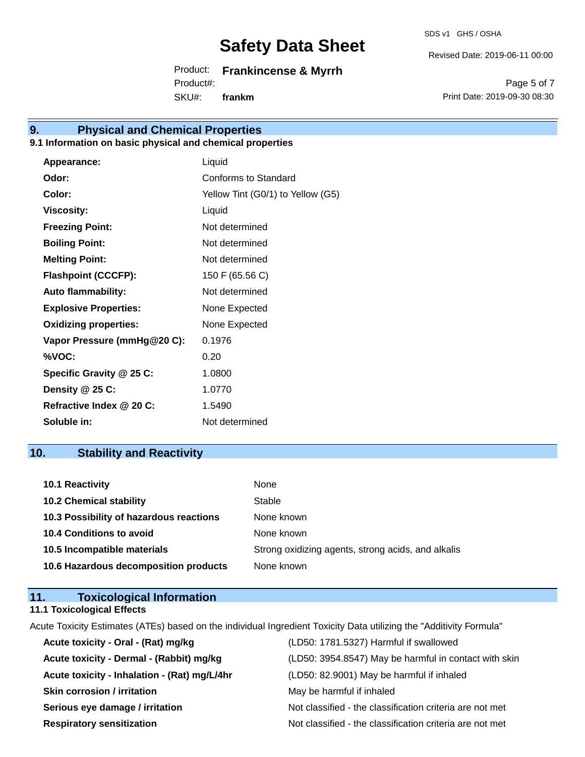SDS v1 GHS / OSHA

Revised Date: 2019-06-11 00:00

Product: **Frankincense & Myrrh**  SKU#: Product#: **frankm**

Page 5 of 7 Print Date: 2019-09-30 08:30

## **9. Physical and Chemical Properties**

## **9.1 Information on basic physical and chemical properties**

| Appearance:                  | Liquid                            |
|------------------------------|-----------------------------------|
| Odor:                        | Conforms to Standard              |
| Color:                       | Yellow Tint (G0/1) to Yellow (G5) |
| <b>Viscosity:</b>            | Liquid                            |
| <b>Freezing Point:</b>       | Not determined                    |
| <b>Boiling Point:</b>        | Not determined                    |
| <b>Melting Point:</b>        | Not determined                    |
| <b>Flashpoint (CCCFP):</b>   | 150 F (65.56 C)                   |
| <b>Auto flammability:</b>    | Not determined                    |
| <b>Explosive Properties:</b> | None Expected                     |
| <b>Oxidizing properties:</b> | None Expected                     |
| Vapor Pressure (mmHg@20 C):  | 0.1976                            |
| %VOC:                        | 0.20                              |
| Specific Gravity @ 25 C:     | 1.0800                            |
| Density @ 25 C:              | 1.0770                            |
| Refractive Index @ 20 C:     | 1.5490                            |
| Soluble in:                  | Not determined                    |
|                              |                                   |

## **10. Stability and Reactivity**

| 10.1 Reactivity                         | None                                               |
|-----------------------------------------|----------------------------------------------------|
| <b>10.2 Chemical stability</b>          | Stable                                             |
| 10.3 Possibility of hazardous reactions | None known                                         |
| 10.4 Conditions to avoid                | None known                                         |
| 10.5 Incompatible materials             | Strong oxidizing agents, strong acids, and alkalis |
| 10.6 Hazardous decomposition products   | None known                                         |

| 11. | <b>Toxicological Information</b>  |  |
|-----|-----------------------------------|--|
|     | <b>11.1 Toxicological Effects</b> |  |

Acute Toxicity Estimates (ATEs) based on the individual Ingredient Toxicity Data utilizing the "Additivity Formula"

| Acute toxicity - Oral - (Rat) mg/kg          | (LD50: 1781.5327) Harmful if swallowed                   |
|----------------------------------------------|----------------------------------------------------------|
| Acute toxicity - Dermal - (Rabbit) mg/kg     | (LD50: 3954.8547) May be harmful in contact with skin    |
| Acute toxicity - Inhalation - (Rat) mg/L/4hr | (LD50: 82.9001) May be harmful if inhaled                |
| <b>Skin corrosion / irritation</b>           | May be harmful if inhaled                                |
| Serious eye damage / irritation              | Not classified - the classification criteria are not met |
| <b>Respiratory sensitization</b>             | Not classified - the classification criteria are not met |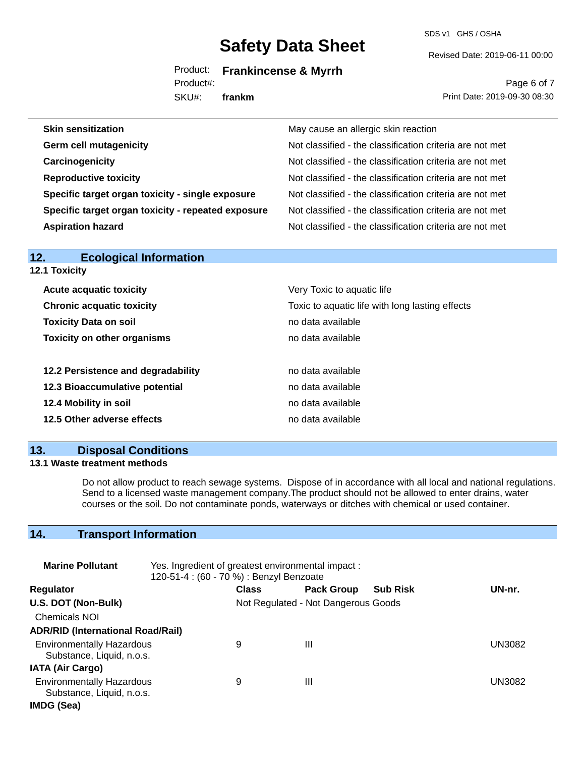SDS v1 GHS / OSHA

Revised Date: 2019-06-11 00:00

Product: **Frankincense & Myrrh** 

Product#:

SKU#: **frankm**

Page 6 of 7 Print Date: 2019-09-30 08:30

| <b>Skin sensitization</b>                          | May cause an allergic skin reaction                      |
|----------------------------------------------------|----------------------------------------------------------|
| <b>Germ cell mutagenicity</b>                      | Not classified - the classification criteria are not met |
| Carcinogenicity                                    | Not classified - the classification criteria are not met |
| <b>Reproductive toxicity</b>                       | Not classified - the classification criteria are not met |
| Specific target organ toxicity - single exposure   | Not classified - the classification criteria are not met |
| Specific target organ toxicity - repeated exposure | Not classified - the classification criteria are not met |
| <b>Aspiration hazard</b>                           | Not classified - the classification criteria are not met |

| <b>Ecological Information</b><br>12. |                                                 |
|--------------------------------------|-------------------------------------------------|
| <b>12.1 Toxicity</b>                 |                                                 |
| <b>Acute acquatic toxicity</b>       | Very Toxic to aquatic life                      |
| <b>Chronic acquatic toxicity</b>     | Toxic to aquatic life with long lasting effects |
| <b>Toxicity Data on soil</b>         | no data available                               |
| <b>Toxicity on other organisms</b>   | no data available                               |
| 12.2 Persistence and degradability   | no data available                               |
| 12.3 Bioaccumulative potential       | no data available                               |
| 12.4 Mobility in soil                | no data available                               |
| 12.5 Other adverse effects           | no data available                               |
|                                      |                                                 |

## **13. Disposal Conditions**

## **13.1 Waste treatment methods**

Do not allow product to reach sewage systems. Dispose of in accordance with all local and national regulations. Send to a licensed waste management company.The product should not be allowed to enter drains, water courses or the soil. Do not contaminate ponds, waterways or ditches with chemical or used container.

## **14. Transport Information**

| <b>Marine Pollutant</b>                                       | Yes. Ingredient of greatest environmental impact:<br>120-51-4 : (60 - 70 %) : Benzyl Benzoate |                                     |                   |                 |        |
|---------------------------------------------------------------|-----------------------------------------------------------------------------------------------|-------------------------------------|-------------------|-----------------|--------|
| <b>Regulator</b>                                              |                                                                                               | <b>Class</b>                        | <b>Pack Group</b> | <b>Sub Risk</b> | UN-nr. |
| U.S. DOT (Non-Bulk)                                           |                                                                                               | Not Regulated - Not Dangerous Goods |                   |                 |        |
| <b>Chemicals NOI</b>                                          |                                                                                               |                                     |                   |                 |        |
| <b>ADR/RID (International Road/Rail)</b>                      |                                                                                               |                                     |                   |                 |        |
| <b>Environmentally Hazardous</b><br>Substance, Liquid, n.o.s. |                                                                                               | 9                                   | Ш                 |                 | UN3082 |
| <b>IATA (Air Cargo)</b>                                       |                                                                                               |                                     |                   |                 |        |
| <b>Environmentally Hazardous</b><br>Substance, Liquid, n.o.s. |                                                                                               | 9                                   | Ш                 |                 | UN3082 |
| IMDG (Sea)                                                    |                                                                                               |                                     |                   |                 |        |